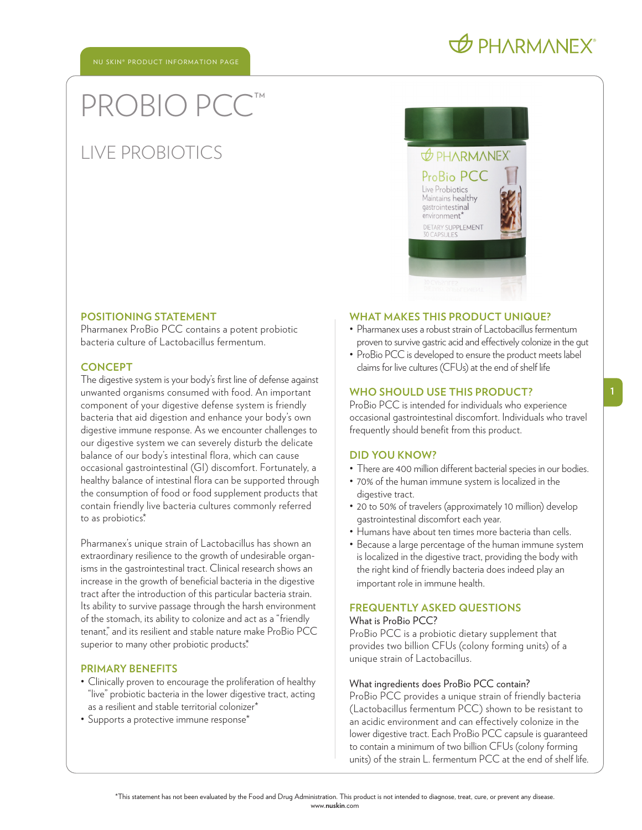# PROBIO PC

# LIVE PROBIOTICS



#### **POSITIONING STATEMENT**

Pharmanex ProBio PCC contains a potent probiotic bacteria culture of Lactobacillus fermentum.

# **CONCEPT**

The digestive system is your body's first line of defense against unwanted organisms consumed with food. An important component of your digestive defense system is friendly bacteria that aid digestion and enhance your body's own digestive immune response. As we encounter challenges to our digestive system we can severely disturb the delicate balance of our body's intestinal flora, which can cause occasional gastrointestinal (GI) discomfort. Fortunately, a healthy balance of intestinal flora can be supported through the consumption of food or food supplement products that contain friendly live bacteria cultures commonly referred to as probiotics.\*

Pharmanex's unique strain of Lactobacillus has shown an extraordinary resilience to the growth of undesirable organisms in the gastrointestinal tract. Clinical research shows an increase in the growth of beneficial bacteria in the digestive tract after the introduction of this particular bacteria strain. Its ability to survive passage through the harsh environment of the stomach, its ability to colonize and act as a "friendly tenant," and its resilient and stable nature make ProBio PCC superior to many other probiotic products.\*

### **PRIMARY BENEFITS**

- Clinically proven to encourage the proliferation of healthy "live" probiotic bacteria in the lower digestive tract, acting as a resilient and stable territorial colonizer\*
- Supports a protective immune response\*

#### **WHAT MAKES THIS PRODUCT UNIQUE?**

- Pharmanex uses a robust strain of Lactobacillus fermentum proven to survive gastric acid and effectively colonize in the gut
- ProBio PCC is developed to ensure the product meets label claims for live cultures (CFUs) at the end of shelf life

## **WHO SHOULD USE THIS PRODUCT?**

ProBio PCC is intended for individuals who experience occasional gastrointestinal discomfort. Individuals who travel frequently should benefit from this product.

## **DID YOU KNOW?**

- There are 400 million different bacterial species in our bodies.
- 70% of the human immune system is localized in the digestive tract.
- 20 to 50% of travelers (approximately 10 million) develop gastrointestinal discomfort each year.
- Humans have about ten times more bacteria than cells.
- Because a large percentage of the human immune system is localized in the digestive tract, providing the body with the right kind of friendly bacteria does indeed play an important role in immune health.

# **FREQUENTLY ASKED QUESTIONS**

# What is ProBio PCC?

ProBio PCC is a probiotic dietary supplement that provides two billion CFUs (colony forming units) of a unique strain of Lactobacillus.

#### What ingredients does ProBio PCC contain?

ProBio PCC provides a unique strain of friendly bacteria (Lactobacillus fermentum PCC) shown to be resistant to an acidic environment and can effectively colonize in the lower digestive tract. Each ProBio PCC capsule is guaranteed to contain a minimum of two billion CFUs (colony forming units) of the strain L. fermentum PCC at the end of shelf life.